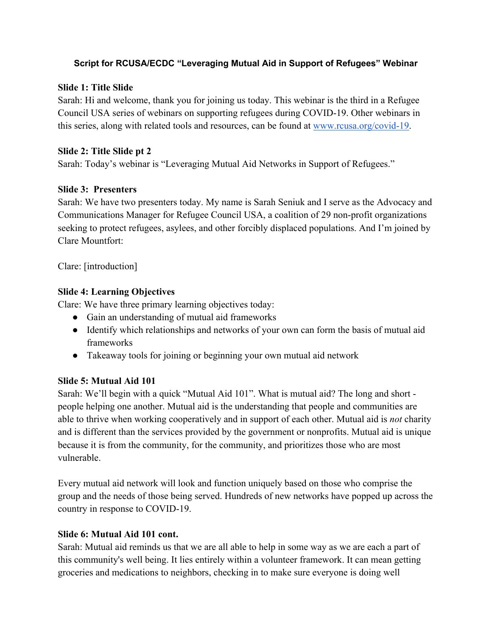## **Script for RCUSA/ECDC "Leveraging Mutual Aid in Support of Refugees" Webinar**

## **Slide 1: Title Slide**

Sarah: Hi and welcome, thank you for joining us today. This webinar is the third in a Refugee Council USA series of webinars on supporting refugees during COVID-19. Other webinars in this series, along with related tools and resources, can be found at www.rcusa.org/covid-19.

## **Slide 2: Title Slide pt 2**

Sarah: Today's webinar is "Leveraging Mutual Aid Networks in Support of Refugees."

## **Slide 3: Presenters**

Sarah: We have two presenters today. My name is Sarah Seniuk and I serve as the Advocacy and Communications Manager for Refugee Council USA, a coalition of 29 non-profit organizations seeking to protect refugees, asylees, and other forcibly displaced populations. And I'm joined by Clare Mountfort:

Clare: [introduction]

# **Slide 4: Learning Objectives**

Clare: We have three primary learning objectives today:

- Gain an understanding of mutual aid frameworks
- Identify which relationships and networks of your own can form the basis of mutual aid frameworks
- Takeaway tools for joining or beginning your own mutual aid network

# **Slide 5: Mutual Aid 101**

Sarah: We'll begin with a quick "Mutual Aid 101". What is mutual aid? The long and short people helping one another. Mutual aid is the understanding that people and communities are able to thrive when working cooperatively and in support of each other. Mutual aid is *not* charity and is different than the services provided by the government or nonprofits. Mutual aid is unique because it is from the community, for the community, and prioritizes those who are most vulnerable.

Every mutual aid network will look and function uniquely based on those who comprise the group and the needs of those being served. Hundreds of new networks have popped up across the country in response to COVID-19.

# **Slide 6: Mutual Aid 101 cont.**

Sarah: Mutual aid reminds us that we are all able to help in some way as we are each a part of this community's well being. It lies entirely within a volunteer framework. It can mean getting groceries and medications to neighbors, checking in to make sure everyone is doing well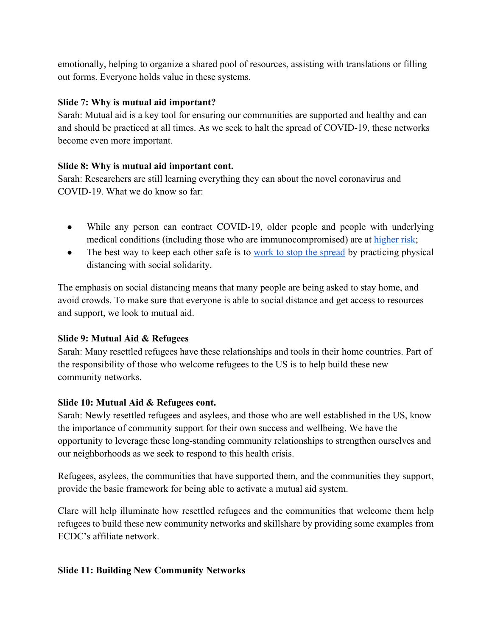emotionally, helping to organize a shared pool of resources, assisting with translations or filling out forms. Everyone holds value in these systems.

# **Slide 7: Why is mutual aid important?**

Sarah: Mutual aid is a key tool for ensuring our communities are supported and healthy and can and should be practiced at all times. As we seek to halt the spread of COVID-19, these networks become even more important.

## **Slide 8: Why is mutual aid important cont.**

Sarah: Researchers are still learning everything they can about the novel coronavirus and COVID-19. What we do know so far:

- While any person can contract COVID-19, older people and people with underlying medical conditions (including those who are immunocompromised) are at higher risk;
- The best way to keep each other safe is to work to stop the spread by practicing physical distancing with social solidarity.

The emphasis on social distancing means that many people are being asked to stay home, and avoid crowds. To make sure that everyone is able to social distance and get access to resources and support, we look to mutual aid.

# **Slide 9: Mutual Aid & Refugees**

Sarah: Many resettled refugees have these relationships and tools in their home countries. Part of the responsibility of those who welcome refugees to the US is to help build these new community networks.

# **Slide 10: Mutual Aid & Refugees cont.**

Sarah: Newly resettled refugees and asylees, and those who are well established in the US, know the importance of community support for their own success and wellbeing. We have the opportunity to leverage these long-standing community relationships to strengthen ourselves and our neighborhoods as we seek to respond to this health crisis.

Refugees, asylees, the communities that have supported them, and the communities they support, provide the basic framework for being able to activate a mutual aid system.

Clare will help illuminate how resettled refugees and the communities that welcome them help refugees to build these new community networks and skillshare by providing some examples from ECDC's affiliate network.

### **Slide 11: Building New Community Networks**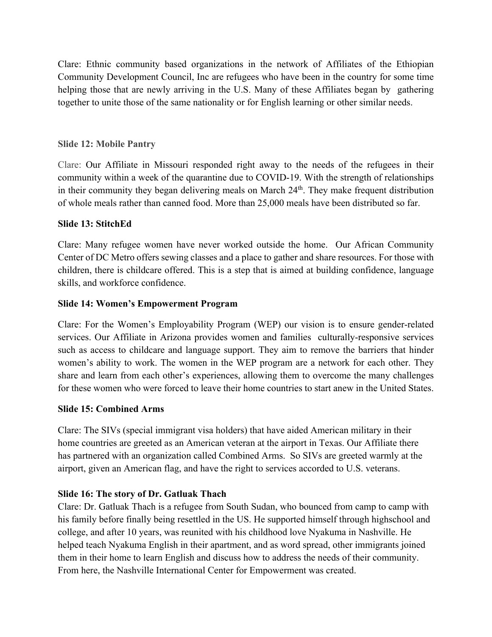Clare: Ethnic community based organizations in the network of Affiliates of the Ethiopian Community Development Council, Inc are refugees who have been in the country for some time helping those that are newly arriving in the U.S. Many of these Affiliates began by gathering together to unite those of the same nationality or for English learning or other similar needs.

### **Slide 12: Mobile Pantry**

Clare: Our Affiliate in Missouri responded right away to the needs of the refugees in their community within a week of the quarantine due to COVID-19. With the strength of relationships in their community they began delivering meals on March  $24<sup>th</sup>$ . They make frequent distribution of whole meals rather than canned food. More than 25,000 meals have been distributed so far.

#### **Slide 13: StitchEd**

Clare: Many refugee women have never worked outside the home. Our African Community Center of DC Metro offers sewing classes and a place to gather and share resources. For those with children, there is childcare offered. This is a step that is aimed at building confidence, language skills, and workforce confidence.

#### **Slide 14: Women's Empowerment Program**

Clare: For the Women's Employability Program (WEP) our vision is to ensure gender-related services. Our Affiliate in Arizona provides women and families culturally-responsive services such as access to childcare and language support. They aim to remove the barriers that hinder women's ability to work. The women in the WEP program are a network for each other. They share and learn from each other's experiences, allowing them to overcome the many challenges for these women who were forced to leave their home countries to start anew in the United States.

### **Slide 15: Combined Arms**

Clare: The SIVs (special immigrant visa holders) that have aided American military in their home countries are greeted as an American veteran at the airport in Texas. Our Affiliate there has partnered with an organization called Combined Arms. So SIVs are greeted warmly at the airport, given an American flag, and have the right to services accorded to U.S. veterans.

### **Slide 16: The story of Dr. Gatluak Thach**

Clare: Dr. Gatluak Thach is a refugee from South Sudan, who bounced from camp to camp with his family before finally being resettled in the US. He supported himself through highschool and college, and after 10 years, was reunited with his childhood love Nyakuma in Nashville. He helped teach Nyakuma English in their apartment, and as word spread, other immigrants joined them in their home to learn English and discuss how to address the needs of their community. From here, the Nashville International Center for Empowerment was created.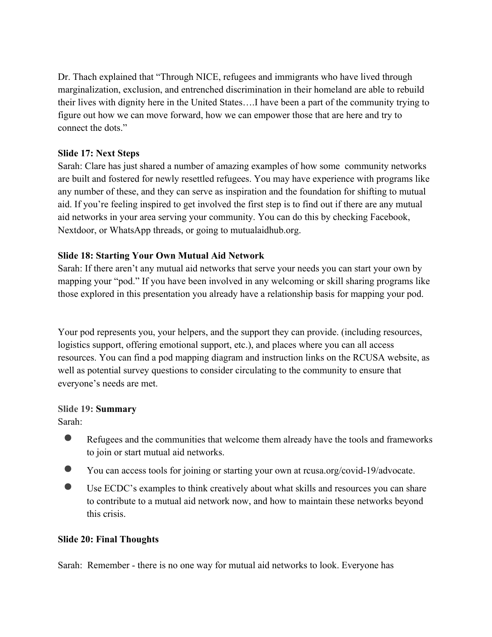Dr. Thach explained that "Through NICE, refugees and immigrants who have lived through marginalization, exclusion, and entrenched discrimination in their homeland are able to rebuild their lives with dignity here in the United States….I have been a part of the community trying to figure out how we can move forward, how we can empower those that are here and try to connect the dots."

### **Slide 17: Next Steps**

Sarah: Clare has just shared a number of amazing examples of how some community networks are built and fostered for newly resettled refugees. You may have experience with programs like any number of these, and they can serve as inspiration and the foundation for shifting to mutual aid. If you're feeling inspired to get involved the first step is to find out if there are any mutual aid networks in your area serving your community. You can do this by checking Facebook, Nextdoor, or WhatsApp threads, or going to mutualaidhub.org.

#### **Slide 18: Starting Your Own Mutual Aid Network**

Sarah: If there aren't any mutual aid networks that serve your needs you can start your own by mapping your "pod." If you have been involved in any welcoming or skill sharing programs like those explored in this presentation you already have a relationship basis for mapping your pod.

Your pod represents you, your helpers, and the support they can provide. (including resources, logistics support, offering emotional support, etc.), and places where you can all access resources. You can find a pod mapping diagram and instruction links on the RCUSA website, as well as potential survey questions to consider circulating to the community to ensure that everyone's needs are met.

### **Slide 19: Summary**

Sarah:

- Refugees and the communities that welcome them already have the tools and frameworks to join or start mutual aid networks.
- You can access tools for joining or starting your own at rcusa.org/covid-19/advocate.
- Use ECDC's examples to think creatively about what skills and resources you can share to contribute to a mutual aid network now, and how to maintain these networks beyond this crisis.

#### **Slide 20: Final Thoughts**

Sarah: Remember - there is no one way for mutual aid networks to look. Everyone has